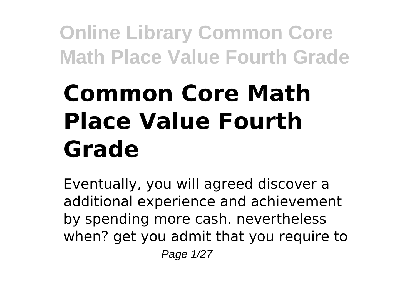# **Common Core Math Place Value Fourth Grade**

Eventually, you will agreed discover a additional experience and achievement by spending more cash. nevertheless when? get you admit that you require to Page 1/27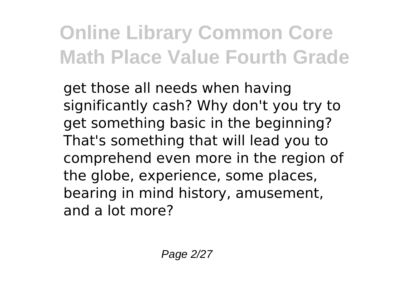get those all needs when having significantly cash? Why don't you try to get something basic in the beginning? That's something that will lead you to comprehend even more in the region of the globe, experience, some places, bearing in mind history, amusement, and a lot more?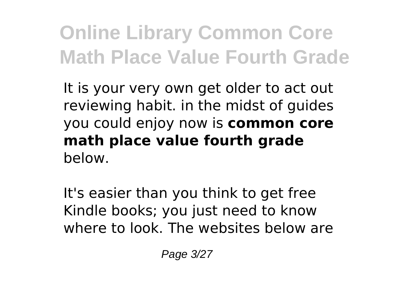It is your very own get older to act out reviewing habit. in the midst of guides you could enjoy now is **common core math place value fourth grade** below.

It's easier than you think to get free Kindle books; you just need to know where to look. The websites below are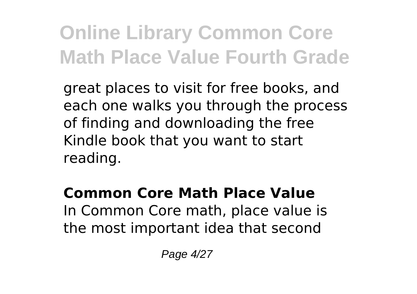great places to visit for free books, and each one walks you through the process of finding and downloading the free Kindle book that you want to start reading.

**Common Core Math Place Value** In Common Core math, place value is the most important idea that second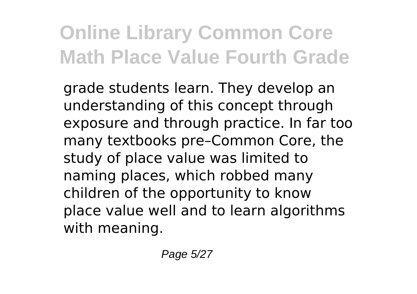grade students learn. They develop an understanding of this concept through exposure and through practice. In far too many textbooks pre–Common Core, the study of place value was limited to naming places, which robbed many children of the opportunity to know place value well and to learn algorithms with meaning.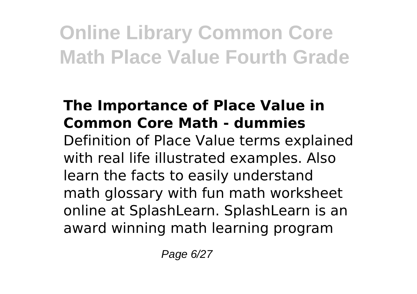#### **The Importance of Place Value in Common Core Math - dummies**

Definition of Place Value terms explained with real life illustrated examples. Also learn the facts to easily understand math glossary with fun math worksheet online at SplashLearn. SplashLearn is an award winning math learning program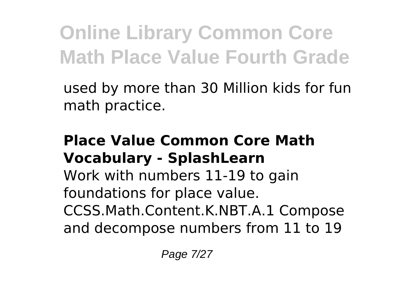used by more than 30 Million kids for fun math practice.

#### **Place Value Common Core Math Vocabulary - SplashLearn**

Work with numbers 11-19 to gain foundations for place value. CCSS.Math.Content.K.NBT.A.1 Compose and decompose numbers from 11 to 19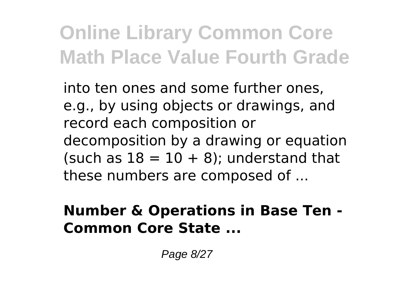into ten ones and some further ones, e.g., by using objects or drawings, and record each composition or decomposition by a drawing or equation (such as  $18 = 10 + 8$ ); understand that these numbers are composed of ...

#### **Number & Operations in Base Ten - Common Core State ...**

Page 8/27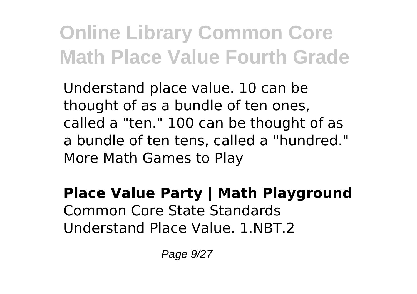Understand place value. 10 can be thought of as a bundle of ten ones, called a "ten." 100 can be thought of as a bundle of ten tens, called a "hundred." More Math Games to Play

**Place Value Party | Math Playground** Common Core State Standards Understand Place Value. 1.NBT.2

Page 9/27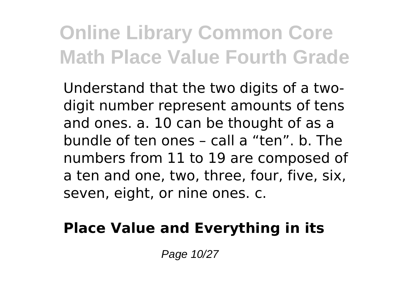Understand that the two digits of a twodigit number represent amounts of tens and ones. a. 10 can be thought of as a bundle of ten ones – call a "ten". b. The numbers from 11 to 19 are composed of a ten and one, two, three, four, five, six, seven, eight, or nine ones. c.

### **Place Value and Everything in its**

Page 10/27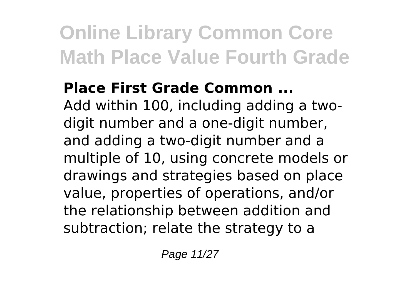### **Place First Grade Common ...**

Add within 100, including adding a twodigit number and a one-digit number, and adding a two-digit number and a multiple of 10, using concrete models or drawings and strategies based on place value, properties of operations, and/or the relationship between addition and subtraction; relate the strategy to a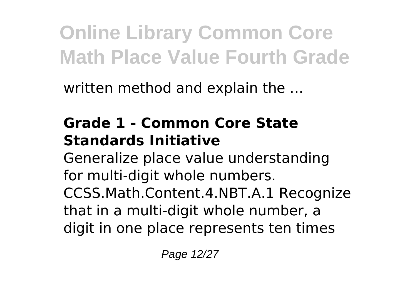written method and explain the ...

### **Grade 1 - Common Core State Standards Initiative**

Generalize place value understanding for multi-digit whole numbers.

CCSS.Math.Content.4.NBT.A.1 Recognize that in a multi-digit whole number, a digit in one place represents ten times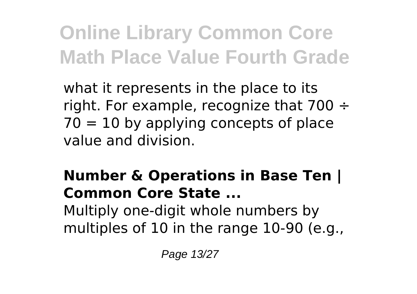what it represents in the place to its right. For example, recognize that  $700 \div$  $70 = 10$  by applying concepts of place value and division.

#### **Number & Operations in Base Ten | Common Core State ...** Multiply one-digit whole numbers by multiples of 10 in the range 10-90 (e.g.,

Page 13/27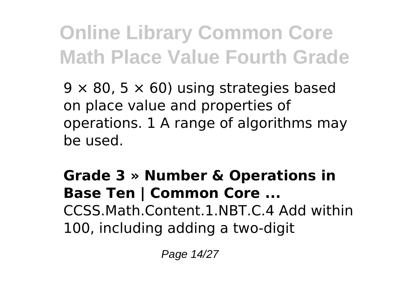$9 \times 80$ ,  $5 \times 60$ ) using strategies based on place value and properties of operations. 1 A range of algorithms may be used.

**Grade 3 » Number & Operations in Base Ten | Common Core ...** CCSS.Math.Content.1.NBT.C.4 Add within 100, including adding a two-digit

Page 14/27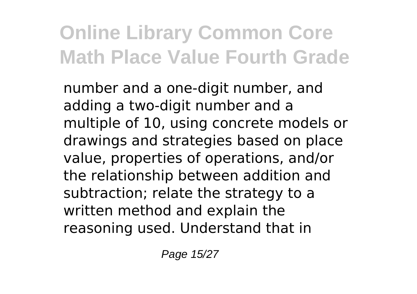number and a one-digit number, and adding a two-digit number and a multiple of 10, using concrete models or drawings and strategies based on place value, properties of operations, and/or the relationship between addition and subtraction; relate the strategy to a written method and explain the reasoning used. Understand that in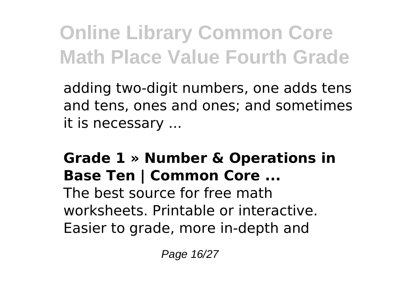adding two-digit numbers, one adds tens and tens, ones and ones; and sometimes it is necessary ...

#### **Grade 1 » Number & Operations in Base Ten | Common Core ...**

The best source for free math worksheets. Printable or interactive. Easier to grade, more in-depth and

Page 16/27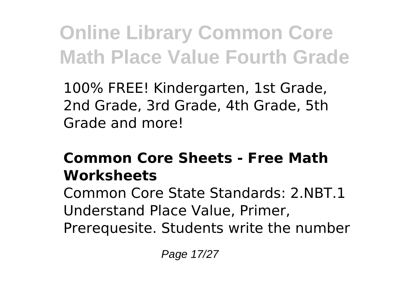100% FREE! Kindergarten, 1st Grade, 2nd Grade, 3rd Grade, 4th Grade, 5th Grade and more!

### **Common Core Sheets - Free Math Worksheets**

Common Core State Standards: 2.NBT.1 Understand Place Value, Primer, Prerequesite. Students write the number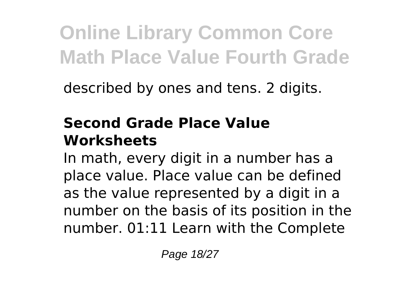described by ones and tens. 2 digits.

### **Second Grade Place Value Worksheets**

In math, every digit in a number has a place value. Place value can be defined as the value represented by a digit in a number on the basis of its position in the number. 01:11 Learn with the Complete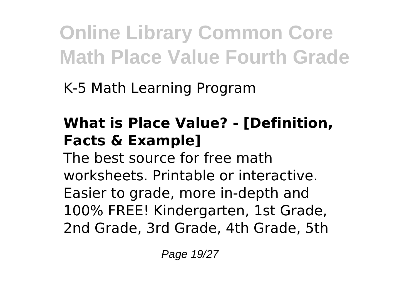K-5 Math Learning Program

### **What is Place Value? - [Definition, Facts & Example]**

The best source for free math worksheets. Printable or interactive. Easier to grade, more in-depth and 100% FREE! Kindergarten, 1st Grade, 2nd Grade, 3rd Grade, 4th Grade, 5th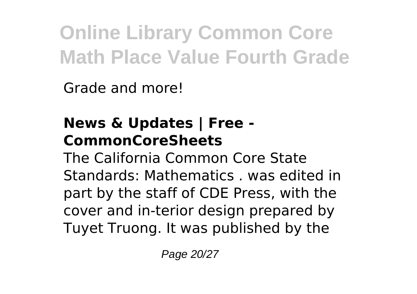Grade and more!

### **News & Updates | Free - CommonCoreSheets**

The California Common Core State Standards: Mathematics . was edited in part by the staff of CDE Press, with the cover and in-terior design prepared by Tuyet Truong. It was published by the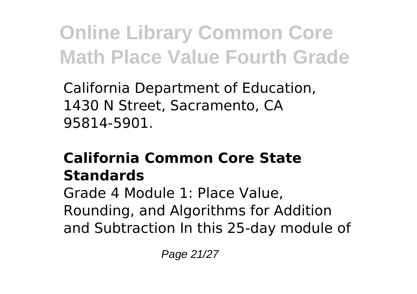California Department of Education, 1430 N Street, Sacramento, CA 95814-5901.

### **California Common Core State Standards**

Grade 4 Module 1: Place Value, Rounding, and Algorithms for Addition and Subtraction In this 25-day module of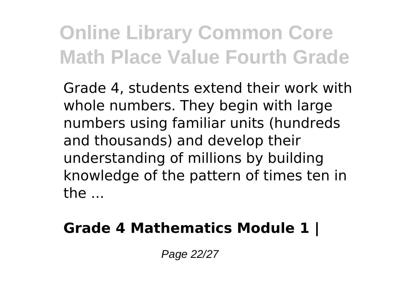Grade 4, students extend their work with whole numbers. They begin with large numbers using familiar units (hundreds and thousands) and develop their understanding of millions by building knowledge of the pattern of times ten in the ...

#### **Grade 4 Mathematics Module 1 |**

Page 22/27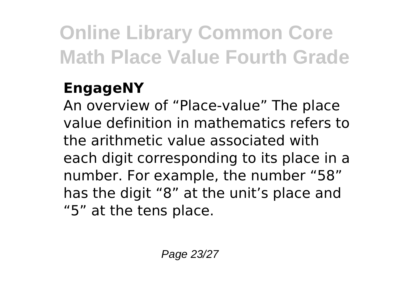### **EngageNY**

An overview of "Place-value" The place value definition in mathematics refers to the arithmetic value associated with each digit corresponding to its place in a number. For example, the number "58" has the digit "8" at the unit's place and "5" at the tens place.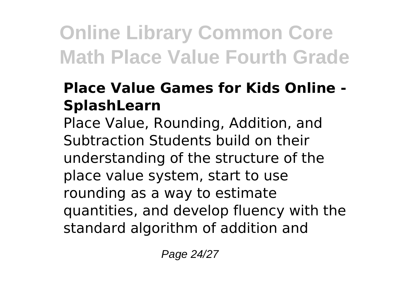### **Place Value Games for Kids Online - SplashLearn**

Place Value, Rounding, Addition, and Subtraction Students build on their understanding of the structure of the place value system, start to use rounding as a way to estimate quantities, and develop fluency with the standard algorithm of addition and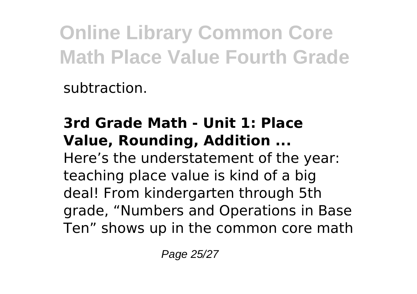subtraction.

### **3rd Grade Math - Unit 1: Place Value, Rounding, Addition ...**

Here's the understatement of the year: teaching place value is kind of a big deal! From kindergarten through 5th grade, "Numbers and Operations in Base Ten" shows up in the common core math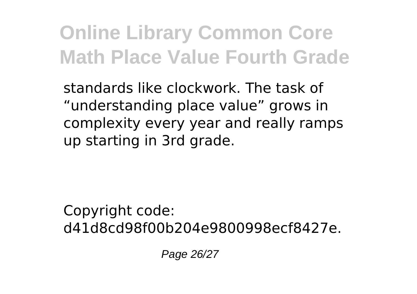standards like clockwork. The task of "understanding place value" grows in complexity every year and really ramps up starting in 3rd grade.

Copyright code: d41d8cd98f00b204e9800998ecf8427e.

Page 26/27